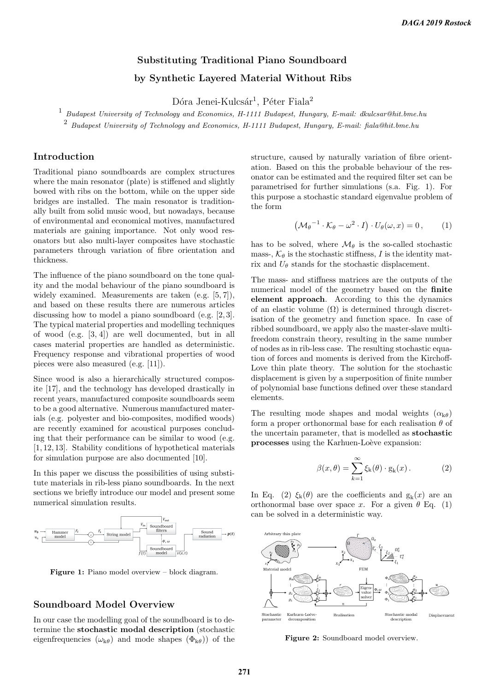# Substituting Traditional Piano Soundboard by Synthetic Layered Material Without Ribs

Dóra Jenei-Kulcsár<sup>1</sup>, Péter Fiala<sup>2</sup>

 $^1\,$  Budapest University of Technology and Economics, H-1111 Budapest, Hungary, E-mail: dkulcsar@hit.bme.hu

 $2$  Budapest University of Technology and Economics, H-1111 Budapest, Hungary, E-mail: fiala@hit.bme.hu

## Introduction

Traditional piano soundboards are complex structures where the main resonator (plate) is stiffened and slightly bowed with ribs on the bottom, while on the upper side bridges are installed. The main resonator is traditionally built from solid music wood, but nowadays, because of environmental and economical motives, manufactured materials are gaining importance. Not only wood resonators but also multi-layer composites have stochastic parameters through variation of fibre orientation and thickness.

The influence of the piano soundboard on the tone quality and the modal behaviour of the piano soundboard is widely examined. Measurements are taken (e.g. [5, 7]), and based on these results there are numerous articles discussing how to model a piano soundboard (e.g. [2,3]. The typical material properties and modelling techniques of wood (e.g. [3, 4]) are well documented, but in all cases material properties are handled as deterministic. Frequency response and vibrational properties of wood pieces were also measured (e.g. [11]).

Since wood is also a hierarchically structured composite [17], and the technology has developed drastically in recent years, manufactured composite soundboards seem to be a good alternative. Numerous manufactured materials (e.g. polyester and bio-composites, modified woods) are recently examined for acoustical purposes concluding that their performance can be similar to wood (e.g. [1, 12, 13]. Stability conditions of hypothetical materials for simulation purpose are also documented [10].

In this paper we discuss the possibilities of using substitute materials in rib-less piano soundboards. In the next sections we briefly introduce our model and present some numerical simulation results.



Figure 1: Piano model overview – block diagram.

#### Soundboard Model Overview

In our case the modelling goal of the soundboard is to determine the stochastic modal description (stochastic eigenfrequencies  $(\omega_{k\theta})$  and mode shapes  $(\Phi_{k\theta})$  of the structure, caused by naturally variation of fibre orientation. Based on this the probable behaviour of the resonator can be estimated and the required filter set can be parametrised for further simulations (s.a. Fig. 1). For this purpose a stochastic standard eigenvalue problem of the form

$$
(\mathcal{M}_{\theta}^{-1} \cdot \mathcal{K}_{\theta} - \omega^2 \cdot I) \cdot U_{\theta}(\omega, x) = 0, \qquad (1)
$$

has to be solved, where  $\mathcal{M}_{\theta}$  is the so-called stochastic mass-,  $\mathcal{K}_{\theta}$  is the stochastic stiffness, I is the identity matrix and  $U_{\theta}$  stands for the stochastic displacement.

The mass- and stiffness matrices are the outputs of the numerical model of the geometry based on the finite element approach. According to this the dynamics of an elastic volume  $(\Omega)$  is determined through discretisation of the geometry and function space. In case of ribbed soundboard, we apply also the master-slave multifreedom constrain theory, resulting in the same number of nodes as in rib-less case. The resulting stochastic equation of forces and moments is derived from the Kirchoff-Love thin plate theory. The solution for the stochastic displacement is given by a superposition of finite number of polynomial base functions defined over these standard elements.

The resulting mode shapes and modal weights  $(\alpha_{k\theta})$ form a proper orthonormal base for each realisation  $\theta$  of the uncertain parameter, that is modelled as stochastic processes using the Karhuen-Loève expansion:

$$
\beta(x,\theta) = \sum_{k=1}^{\infty} \xi_k(\theta) \cdot g_k(x). \tag{2}
$$

In Eq. (2)  $\xi_k(\theta)$  are the coefficients and  $g_k(x)$  are an orthonormal base over space x. For a given  $\theta$  Eq. (1) can be solved in a deterministic way.



Figure 2: Soundboard model overview.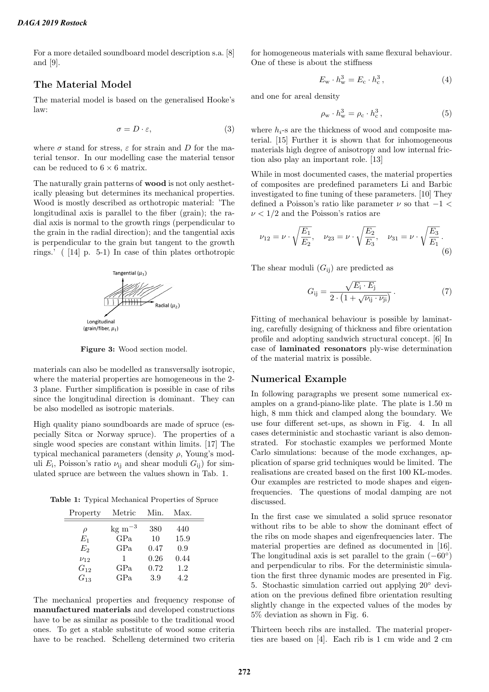For a more detailed soundboard model description s.a. [8] and [9].

#### The Material Model

The material model is based on the generalised Hooke's law:

$$
\sigma = D \cdot \varepsilon,\tag{3}
$$

where  $\sigma$  stand for stress,  $\varepsilon$  for strain and D for the material tensor. In our modelling case the material tensor can be reduced to  $6 \times 6$  matrix.

The naturally grain patterns of wood is not only aesthetically pleasing but determines its mechanical properties. Wood is mostly described as orthotropic material: 'The longitudinal axis is parallel to the fiber (grain); the radial axis is normal to the growth rings (perpendicular to the grain in the radial direction); and the tangential axis is perpendicular to the grain but tangent to the growth rings.' ( [14] p. 5-1) In case of thin plates orthotropic



Figure 3: Wood section model.

materials can also be modelled as transversally isotropic, where the material properties are homogeneous in the 2- 3 plane. Further simplification is possible in case of ribs since the longitudinal direction is dominant. They can be also modelled as isotropic materials.

High quality piano soundboards are made of spruce (especially Sitca or Norway spruce). The properties of a single wood species are constant within limits. [17] The typical mechanical parameters (density  $\rho$ , Young's moduli  $E_i$ , Poisson's ratio  $\nu_{ij}$  and shear moduli  $G_{ij}$ ) for simulated spruce are between the values shown in Tab. 1.

Table 1: Typical Mechanical Properties of Spruce

| Property   | Metric             | Min. | Max. |
|------------|--------------------|------|------|
| $\rho$     | $\text{kg m}^{-3}$ | 380  | 440  |
| $E_1$      | GPa                | 10   | 15.9 |
| $E_2$      | GPa                | 0.47 | 0.9  |
| $\nu_{12}$ | 1                  | 0.26 | 0.44 |
| $G_{12}$   | GPa                | 0.72 | 1.2  |
| $G_{13}$   | GPa                | 3.9  | 4.2  |

The mechanical properties and frequency response of manufactured materials and developed constructions have to be as similar as possible to the traditional wood ones. To get a stable substitute of wood some criteria have to be reached. Schelleng determined two criteria

for homogeneous materials with same flexural behaviour. One of these is about the stiffness

$$
E_{\rm w} \cdot h_{\rm w}^3 = E_{\rm c} \cdot h_{\rm c}^3\,,\tag{4}
$$

and one for areal density

$$
\rho_{\mathbf{w}} \cdot h_{\mathbf{w}}^3 = \rho_{\mathbf{c}} \cdot h_{\mathbf{c}}^3 \,, \tag{5}
$$

where  $h_i$ -s are the thickness of wood and composite material. [15] Further it is shown that for inhomogeneous materials high degree of anisotropy and low internal friction also play an important role. [13]

While in most documented cases, the material properties of composites are predefined parameters Li and Barbic investigated to fine tuning of these parameters. [10] They defined a Poisson's ratio like parameter  $\nu$  so that  $-1$  <  $\nu < 1/2$  and the Poisson's ratios are

$$
\nu_{12} = \nu \cdot \sqrt{\frac{E_1}{E_2}}, \quad \nu_{23} = \nu \cdot \sqrt{\frac{E_2}{E_3}}, \quad \nu_{31} = \nu \cdot \sqrt{\frac{E_3}{E_1}}.
$$
\n(6)

The shear moduli  $(G_{ii})$  are predicted as

$$
G_{ij} = \frac{\sqrt{E_i \cdot E_j}}{2 \cdot \left(1 + \sqrt{\nu_{ij} \cdot \nu_{ji}}\right)}\,. \tag{7}
$$

Fitting of mechanical behaviour is possible by laminating, carefully designing of thickness and fibre orientation profile and adopting sandwich structural concept. [6] In case of laminated resonators ply-wise determination of the material matrix is possible.

#### Numerical Example

In following paragraphs we present some numerical examples on a grand-piano-like plate. The plate is 1.50 m high, 8 mm thick and clamped along the boundary. We use four different set-ups, as shown in Fig. 4. In all cases deterministic and stochastic variant is also demonstrated. For stochastic examples we performed Monte Carlo simulations: because of the mode exchanges, application of sparse grid techniques would be limited. The realisations are created based on the first 100 KL-modes. Our examples are restricted to mode shapes and eigenfrequencies. The questions of modal damping are not discussed.

In the first case we simulated a solid spruce resonator without ribs to be able to show the dominant effect of the ribs on mode shapes and eigenfrequencies later. The material properties are defined as documented in [16]. The longitudinal axis is set parallel to the grain  $(-60^{\circ})$ and perpendicular to ribs. For the deterministic simulation the first three dynamic modes are presented in Fig. 5. Stochastic simulation carried out applying 20◦ deviation on the previous defined fibre orientation resulting slightly change in the expected values of the modes by 5% deviation as shown in Fig. 6.

Thirteen beech ribs are installed. The material properties are based on [4]. Each rib is 1 cm wide and 2 cm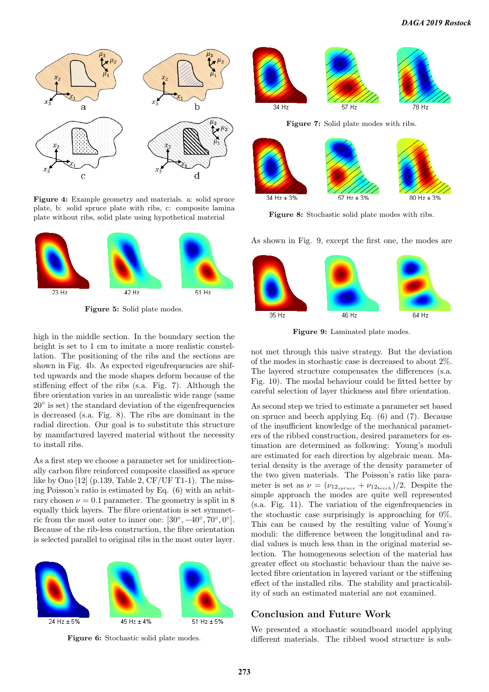

Figure 4: Example geometry and materials. a: solid spruce plate, b: solid spruce plate with ribs, c: composite lamina plate without ribs, solid plate using hypothetical material



Figure 5: Solid plate modes.

high in the middle section. In the boundary section the height is set to 1 cm to imitate a more realistic constellation. The positioning of the ribs and the sections are shown in Fig. 4b. As expected eigenfrequencies are shifted upwards and the mode shapes deform because of the stiffening effect of the ribs (s.a. Fig. 7). Although the fibre orientation varies in an unrealistic wide range (same 20◦ is set) the standard deviation of the eigenfrequencies is decreased (s.a. Fig. 8). The ribs are dominant in the radial direction. Our goal is to substitute this structure by manufactured layered material without the necessity to install ribs.

As a first step we choose a parameter set for unidirectionally carbon fibre reinforced composite classified as spruce like by Ono [12] (p.139, Table 2, CF/UF T1-1). The missing Poisson's ratio is estimated by Eq. (6) with an arbitrary chosen  $\nu = 0.1$  parameter. The geometry is split in 8 equally thick layers. The fibre orientation is set symmetric from the most outer to inner one:  $[30^{\circ}, -40^{\circ}, 70^{\circ}, 0^{\circ}].$ Because of the rib-less construction, the fibre orientation is selected parallel to original ribs in the most outer layer.



Figure 6: Stochastic solid plate modes.



Figure 7: Solid plate modes with ribs.



Figure 8: Stochastic solid plate modes with ribs.

As shown in Fig. 9, except the first one, the modes are



Figure 9: Laminated plate modes.

not met through this naive strategy. But the deviation of the modes in stochastic case is decreased to about 2%. The layered structure compensates the differences (s.a. Fig. 10). The modal behaviour could be fitted better by careful selection of layer thickness and fibre orientation.

As second step we tried to estimate a parameter set based on spruce and beech applying Eq. (6) and (7). Because of the insufficient knowledge of the mechanical parameters of the ribbed construction, desired parameters for estimation are determined as following: Young's moduli are estimated for each direction by algebraic mean. Material density is the average of the density parameter of the two given materials. The Poisson's ratio like parameter is set as  $\nu = (\nu_{12_{spruce}} + \nu_{12_{beech}})/2$ . Despite the simple approach the modes are quite well represented (s.a. Fig. 11). The variation of the eigenfrequencies in the stochastic case surprisingly is approaching for 0%. This can be caused by the resulting value of Young's moduli: the difference between the longitudinal and radial values is much less than in the original material selection. The homogeneous selection of the material has greater effect on stochastic behaviour than the naive selected fibre orientation in layered variant or the stiffening effect of the installed ribs. The stability and practicability of such an estimated material are not examined.

#### Conclusion and Future Work

We presented a stochastic soundboard model applying different materials. The ribbed wood structure is sub-